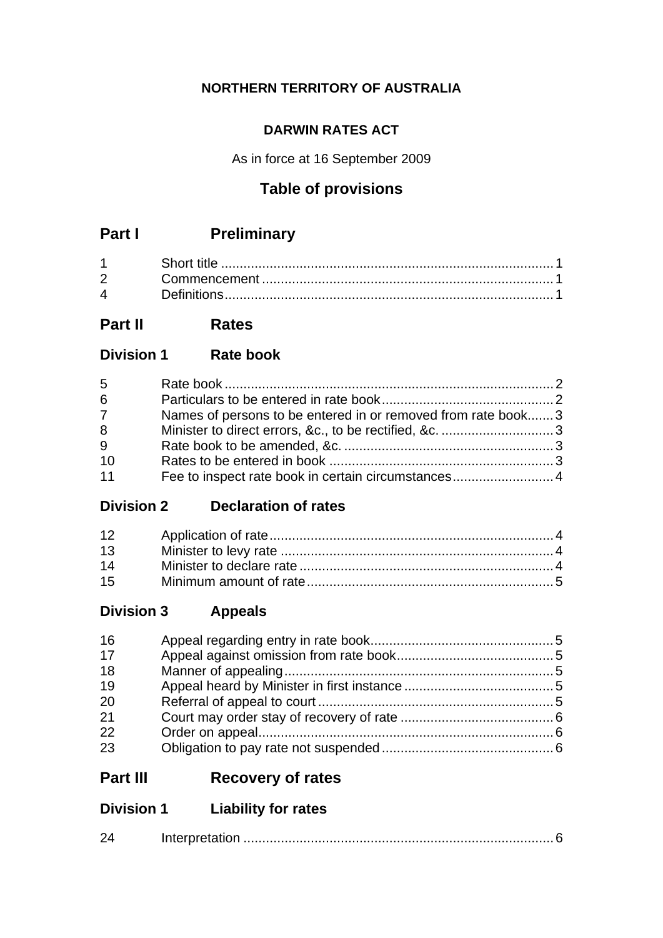## **NORTHERN TERRITORY OF AUSTRALIA**

## **DARWIN RATES ACT**

As in force at 16 September 2009

## **Table of provisions**

# **Part I Preliminary**

| $2 \left( \frac{1}{2} \right)$ |  |
|--------------------------------|--|
|                                |  |

## **Part II Rates**

**Division 1 Rate book**

| 5              |                                                              |  |
|----------------|--------------------------------------------------------------|--|
| $6\phantom{1}$ |                                                              |  |
| $7\phantom{0}$ | Names of persons to be entered in or removed from rate book3 |  |
| 8              |                                                              |  |
| 9              |                                                              |  |
| 10             |                                                              |  |
| 11             |                                                              |  |

## **Division 2 Declaration of rates**

| 13 |  |
|----|--|
| 14 |  |
| 15 |  |

## **Division 3 Appeals**

| 16 |  |
|----|--|
| 17 |  |
| 18 |  |
| 19 |  |
| 20 |  |
| 21 |  |
| 22 |  |
| 23 |  |

# **Part III Recovery of rates**

## **Division 1 Liability for rates**

| 24 |  |
|----|--|
|    |  |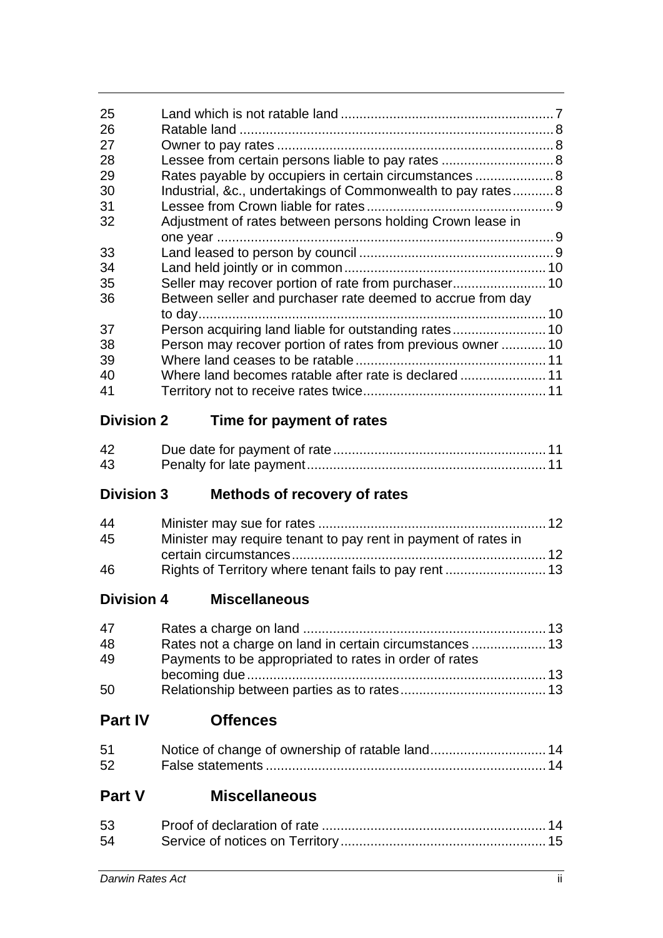| 25                |                                                              |  |
|-------------------|--------------------------------------------------------------|--|
| 26                |                                                              |  |
| 27                |                                                              |  |
| 28                |                                                              |  |
| 29                | Rates payable by occupiers in certain circumstances  8       |  |
| 30                | Industrial, &c., undertakings of Commonwealth to pay rates 8 |  |
| 31                |                                                              |  |
| 32                | Adjustment of rates between persons holding Crown lease in   |  |
|                   |                                                              |  |
| 33                |                                                              |  |
| 34                |                                                              |  |
| 35                | Seller may recover portion of rate from purchaser 10         |  |
| 36                | Between seller and purchaser rate deemed to accrue from day  |  |
|                   |                                                              |  |
| 37                | Person acquiring land liable for outstanding rates 10        |  |
| 38                | Person may recover portion of rates from previous owner 10   |  |
| 39                |                                                              |  |
| 40                |                                                              |  |
| 41                |                                                              |  |
| <b>Division 2</b> | Time for payment of rates                                    |  |

| 42 |  |  |
|----|--|--|
| 43 |  |  |

# **Division 3 Methods of recovery of rates**

| 44 |                                                                |  |
|----|----------------------------------------------------------------|--|
| 45 | Minister may require tenant to pay rent in payment of rates in |  |
|    |                                                                |  |
| 46 |                                                                |  |

**Division 4 Miscellaneous**

| 47 |                                                        |  |
|----|--------------------------------------------------------|--|
| 48 |                                                        |  |
| 49 | Payments to be appropriated to rates in order of rates |  |
|    |                                                        |  |
| 50 |                                                        |  |

# **Part IV Offences**

| 51 |  |
|----|--|
| 52 |  |

# **Part V Miscellaneous**

| 53 |  |
|----|--|
| 54 |  |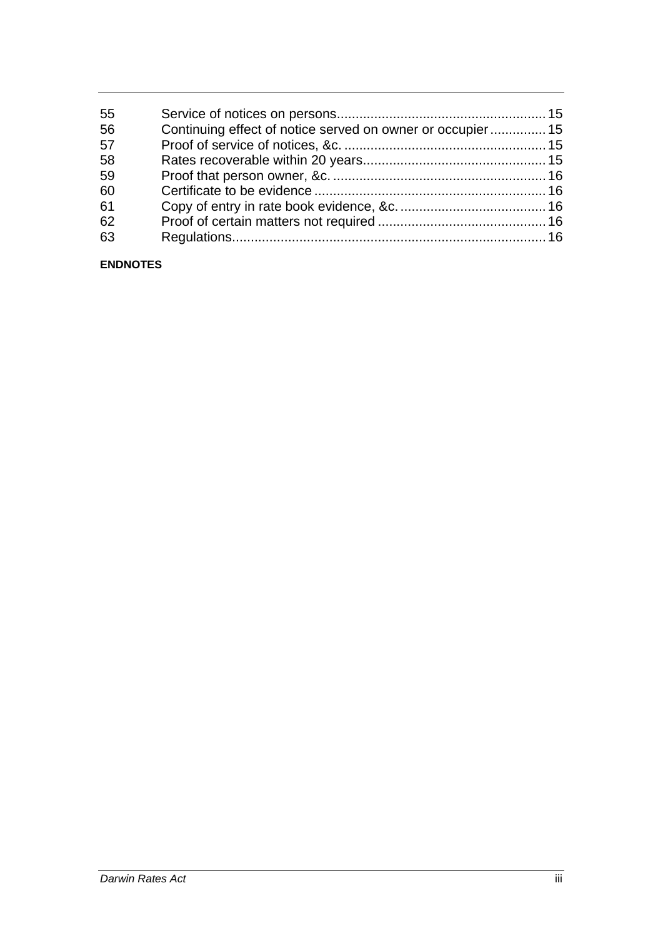| 55 |                                                            |  |
|----|------------------------------------------------------------|--|
| 56 | Continuing effect of notice served on owner or occupier 15 |  |
| 57 |                                                            |  |
| 58 |                                                            |  |
| 59 |                                                            |  |
| 60 |                                                            |  |
| 61 |                                                            |  |
| 62 |                                                            |  |
| 63 |                                                            |  |

#### **ENDNOTES**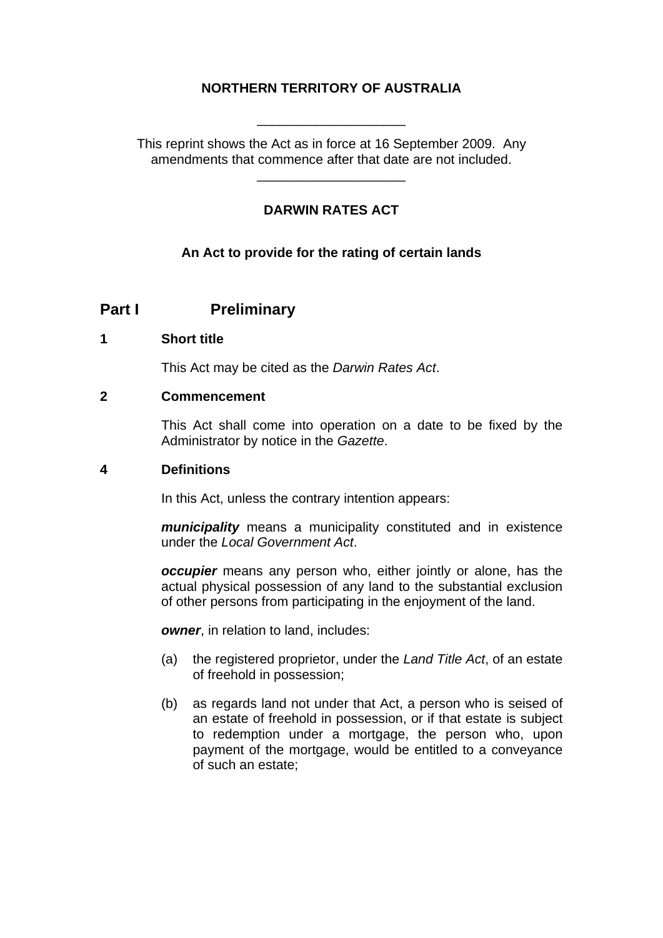## **NORTHERN TERRITORY OF AUSTRALIA**

This reprint shows the Act as in force at 16 September 2009. Any amendments that commence after that date are not included.

\_\_\_\_\_\_\_\_\_\_\_\_\_\_\_\_\_\_\_\_

\_\_\_\_\_\_\_\_\_\_\_\_\_\_\_\_\_\_\_\_

### **DARWIN RATES ACT**

#### **An Act to provide for the rating of certain lands**

## **Part I** Preliminary

#### <span id="page-3-0"></span>**1 Short title**

This Act may be cited as the *Darwin Rates Act*.

#### <span id="page-3-1"></span>**2 Commencement**

This Act shall come into operation on a date to be fixed by the Administrator by notice in the *Gazette*.

#### <span id="page-3-2"></span>**4 Definitions**

In this Act, unless the contrary intention appears:

*municipality* means a municipality constituted and in existence under the *Local Government Act*.

*occupier* means any person who, either jointly or alone, has the actual physical possession of any land to the substantial exclusion of other persons from participating in the enjoyment of the land.

**owner**, in relation to land, includes:

- (a) the registered proprietor, under the *Land Title Act*, of an estate of freehold in possession;
- (b) as regards land not under that Act, a person who is seised of an estate of freehold in possession, or if that estate is subject to redemption under a mortgage, the person who, upon payment of the mortgage, would be entitled to a conveyance of such an estate;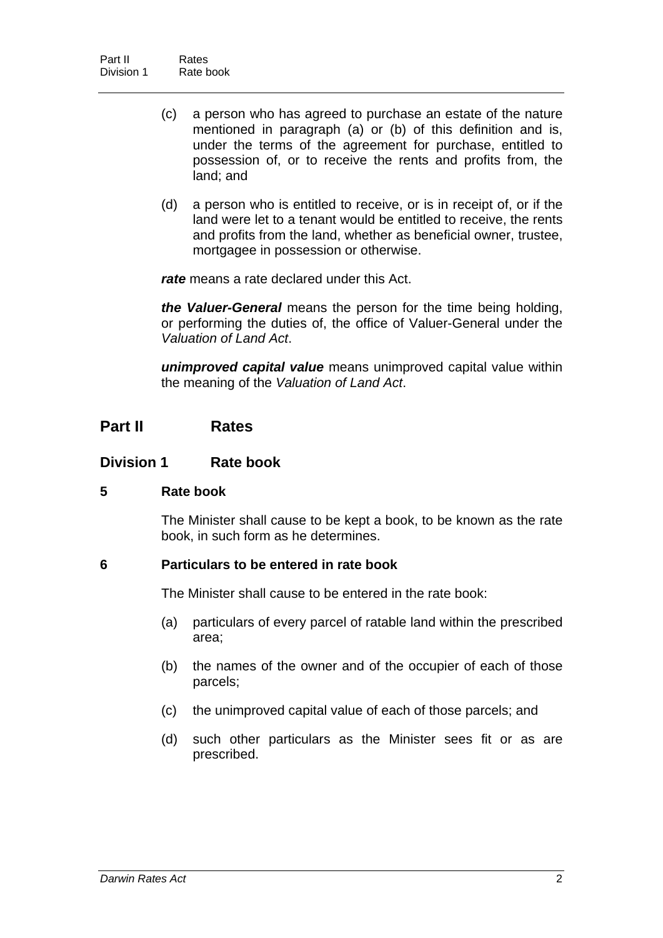- (c) a person who has agreed to purchase an estate of the nature mentioned in paragraph (a) or (b) of this definition and is, under the terms of the agreement for purchase, entitled to possession of, or to receive the rents and profits from, the land; and
- (d) a person who is entitled to receive, or is in receipt of, or if the land were let to a tenant would be entitled to receive, the rents and profits from the land, whether as beneficial owner, trustee, mortgagee in possession or otherwise.

*rate* means a rate declared under this Act.

*the Valuer-General* means the person for the time being holding, or performing the duties of, the office of Valuer-General under the *Valuation of Land Act*.

*unimproved capital value* means unimproved capital value within the meaning of the *Valuation of Land Act*.

## **Part II Rates**

#### **Division 1 Rate book**

#### <span id="page-4-0"></span>**5 Rate book**

The Minister shall cause to be kept a book, to be known as the rate book, in such form as he determines.

#### <span id="page-4-1"></span>**6 Particulars to be entered in rate book**

The Minister shall cause to be entered in the rate book:

- (a) particulars of every parcel of ratable land within the prescribed area;
- (b) the names of the owner and of the occupier of each of those parcels;
- (c) the unimproved capital value of each of those parcels; and
- (d) such other particulars as the Minister sees fit or as are prescribed.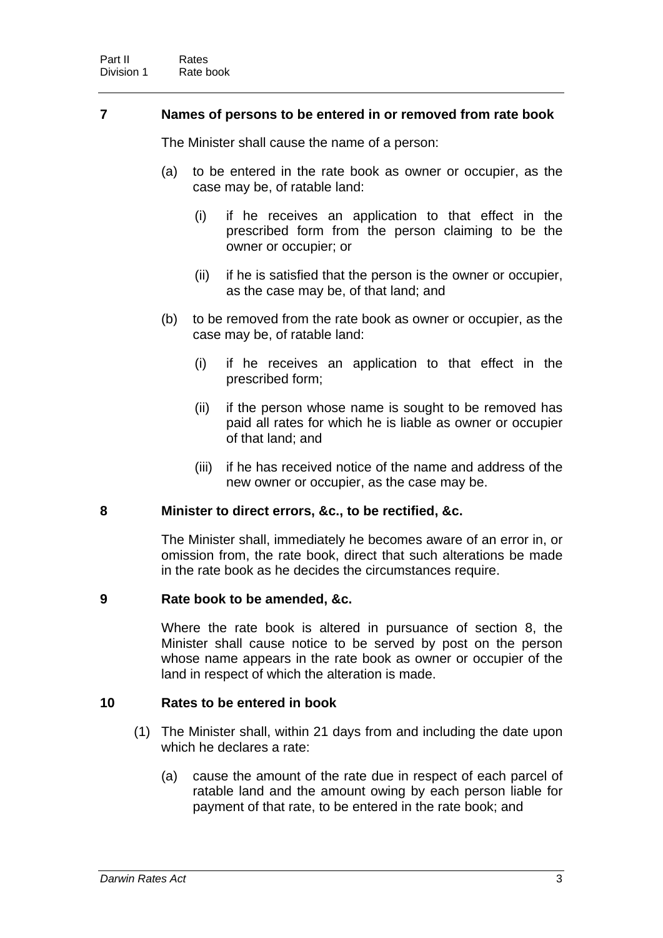#### <span id="page-5-0"></span>**7 Names of persons to be entered in or removed from rate book**

The Minister shall cause the name of a person:

- (a) to be entered in the rate book as owner or occupier, as the case may be, of ratable land:
	- (i) if he receives an application to that effect in the prescribed form from the person claiming to be the owner or occupier; or
	- (ii) if he is satisfied that the person is the owner or occupier, as the case may be, of that land; and
- (b) to be removed from the rate book as owner or occupier, as the case may be, of ratable land:
	- (i) if he receives an application to that effect in the prescribed form;
	- (ii) if the person whose name is sought to be removed has paid all rates for which he is liable as owner or occupier of that land; and
	- (iii) if he has received notice of the name and address of the new owner or occupier, as the case may be.

#### <span id="page-5-1"></span>**8 Minister to direct errors, &c., to be rectified, &c.**

The Minister shall, immediately he becomes aware of an error in, or omission from, the rate book, direct that such alterations be made in the rate book as he decides the circumstances require.

#### <span id="page-5-2"></span>**9 Rate book to be amended, &c.**

Where the rate book is altered in pursuance of section 8, the Minister shall cause notice to be served by post on the person whose name appears in the rate book as owner or occupier of the land in respect of which the alteration is made.

#### <span id="page-5-3"></span>**10 Rates to be entered in book**

- (1) The Minister shall, within 21 days from and including the date upon which he declares a rate:
	- (a) cause the amount of the rate due in respect of each parcel of ratable land and the amount owing by each person liable for payment of that rate, to be entered in the rate book; and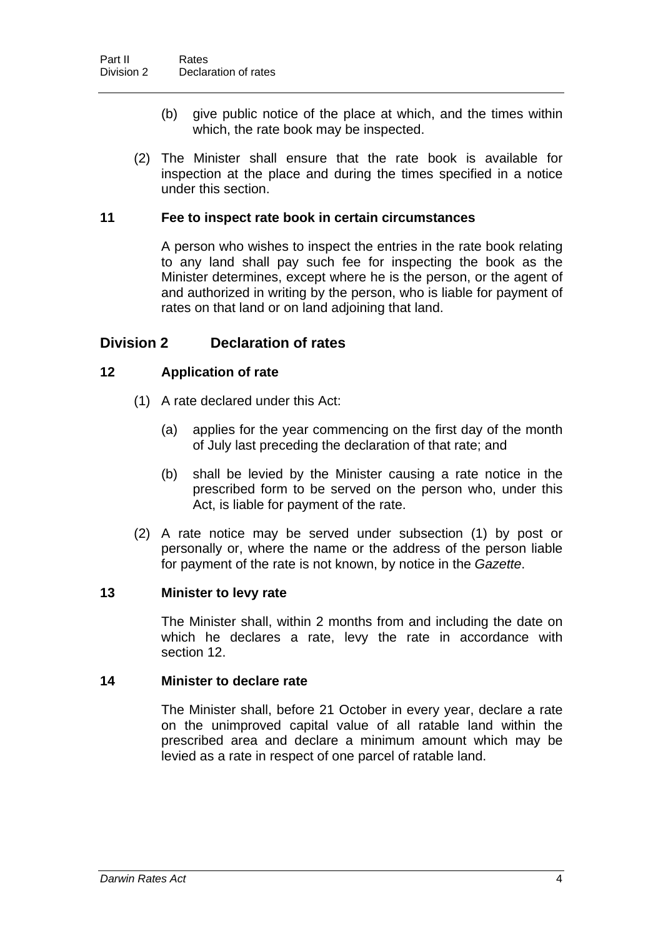- (b) give public notice of the place at which, and the times within which, the rate book may be inspected.
- (2) The Minister shall ensure that the rate book is available for inspection at the place and during the times specified in a notice under this section.

#### <span id="page-6-0"></span>**11 Fee to inspect rate book in certain circumstances**

A person who wishes to inspect the entries in the rate book relating to any land shall pay such fee for inspecting the book as the Minister determines, except where he is the person, or the agent of and authorized in writing by the person, who is liable for payment of rates on that land or on land adjoining that land.

## **Division 2 Declaration of rates**

#### <span id="page-6-1"></span>**12 Application of rate**

- (1) A rate declared under this Act:
	- (a) applies for the year commencing on the first day of the month of July last preceding the declaration of that rate; and
	- (b) shall be levied by the Minister causing a rate notice in the prescribed form to be served on the person who, under this Act, is liable for payment of the rate.
- (2) A rate notice may be served under subsection (1) by post or personally or, where the name or the address of the person liable for payment of the rate is not known, by notice in the *Gazette*.

#### <span id="page-6-2"></span>**13 Minister to levy rate**

The Minister shall, within 2 months from and including the date on which he declares a rate, levy the rate in accordance with section 12.

#### <span id="page-6-3"></span>**14 Minister to declare rate**

The Minister shall, before 21 October in every year, declare a rate on the unimproved capital value of all ratable land within the prescribed area and declare a minimum amount which may be levied as a rate in respect of one parcel of ratable land.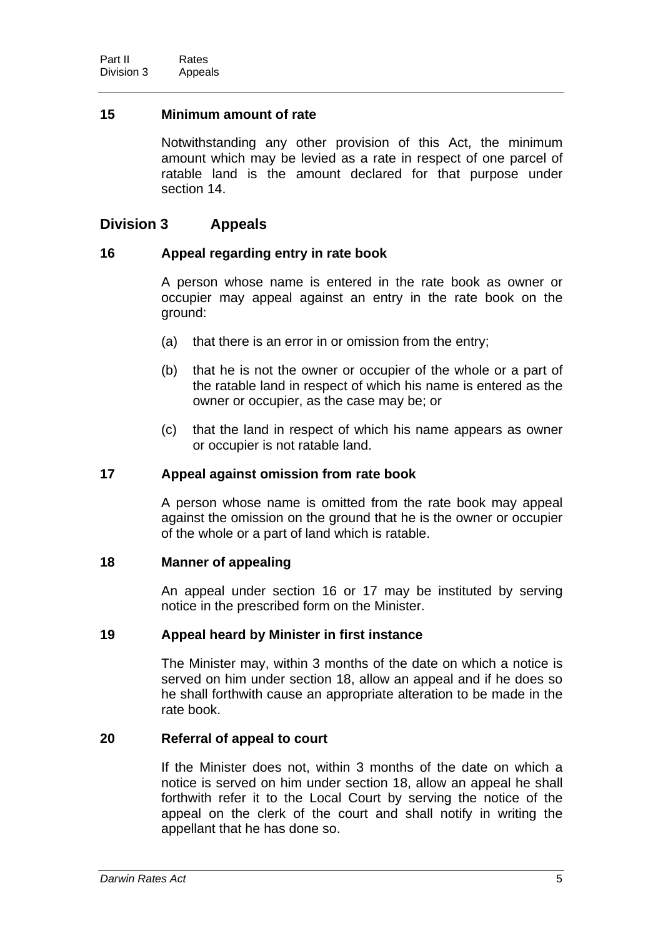#### <span id="page-7-0"></span>**15 Minimum amount of rate**

Notwithstanding any other provision of this Act, the minimum amount which may be levied as a rate in respect of one parcel of ratable land is the amount declared for that purpose under section 14.

## **Division 3 Appeals**

#### <span id="page-7-1"></span>**16 Appeal regarding entry in rate book**

A person whose name is entered in the rate book as owner or occupier may appeal against an entry in the rate book on the ground:

- (a) that there is an error in or omission from the entry;
- (b) that he is not the owner or occupier of the whole or a part of the ratable land in respect of which his name is entered as the owner or occupier, as the case may be; or
- (c) that the land in respect of which his name appears as owner or occupier is not ratable land.

#### <span id="page-7-2"></span>**17 Appeal against omission from rate book**

A person whose name is omitted from the rate book may appeal against the omission on the ground that he is the owner or occupier of the whole or a part of land which is ratable.

#### <span id="page-7-3"></span>**18 Manner of appealing**

An appeal under section 16 or 17 may be instituted by serving notice in the prescribed form on the Minister.

#### <span id="page-7-4"></span>**19 Appeal heard by Minister in first instance**

The Minister may, within 3 months of the date on which a notice is served on him under section 18, allow an appeal and if he does so he shall forthwith cause an appropriate alteration to be made in the rate book.

#### <span id="page-7-5"></span>**20 Referral of appeal to court**

If the Minister does not, within 3 months of the date on which a notice is served on him under section 18, allow an appeal he shall forthwith refer it to the Local Court by serving the notice of the appeal on the clerk of the court and shall notify in writing the appellant that he has done so.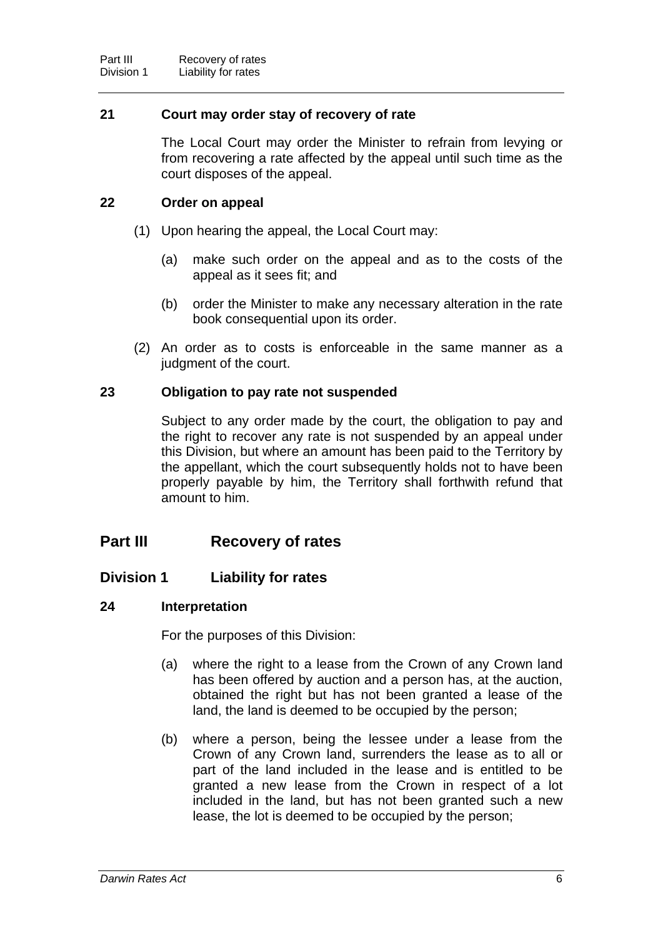#### <span id="page-8-0"></span>**21 Court may order stay of recovery of rate**

The Local Court may order the Minister to refrain from levying or from recovering a rate affected by the appeal until such time as the court disposes of the appeal.

#### <span id="page-8-1"></span>**22 Order on appeal**

- (1) Upon hearing the appeal, the Local Court may:
	- (a) make such order on the appeal and as to the costs of the appeal as it sees fit; and
	- (b) order the Minister to make any necessary alteration in the rate book consequential upon its order.
- (2) An order as to costs is enforceable in the same manner as a judgment of the court.

#### <span id="page-8-2"></span>**23 Obligation to pay rate not suspended**

Subject to any order made by the court, the obligation to pay and the right to recover any rate is not suspended by an appeal under this Division, but where an amount has been paid to the Territory by the appellant, which the court subsequently holds not to have been properly payable by him, the Territory shall forthwith refund that amount to him.

## **Part III Recovery of rates**

## **Division 1 Liability for rates**

#### <span id="page-8-3"></span>**24 Interpretation**

For the purposes of this Division:

- (a) where the right to a lease from the Crown of any Crown land has been offered by auction and a person has, at the auction, obtained the right but has not been granted a lease of the land, the land is deemed to be occupied by the person;
- (b) where a person, being the lessee under a lease from the Crown of any Crown land, surrenders the lease as to all or part of the land included in the lease and is entitled to be granted a new lease from the Crown in respect of a lot included in the land, but has not been granted such a new lease, the lot is deemed to be occupied by the person;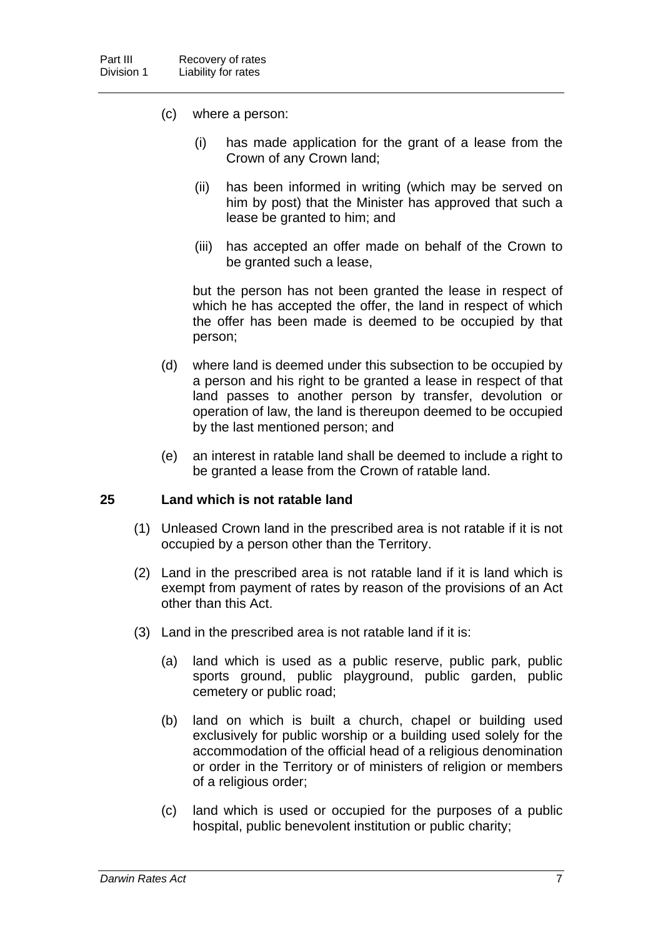- (c) where a person:
	- (i) has made application for the grant of a lease from the Crown of any Crown land;
	- (ii) has been informed in writing (which may be served on him by post) that the Minister has approved that such a lease be granted to him; and
	- (iii) has accepted an offer made on behalf of the Crown to be granted such a lease,

 but the person has not been granted the lease in respect of which he has accepted the offer, the land in respect of which the offer has been made is deemed to be occupied by that person;

- (d) where land is deemed under this subsection to be occupied by a person and his right to be granted a lease in respect of that land passes to another person by transfer, devolution or operation of law, the land is thereupon deemed to be occupied by the last mentioned person; and
- (e) an interest in ratable land shall be deemed to include a right to be granted a lease from the Crown of ratable land.

#### <span id="page-9-0"></span>**25 Land which is not ratable land**

- (1) Unleased Crown land in the prescribed area is not ratable if it is not occupied by a person other than the Territory.
- (2) Land in the prescribed area is not ratable land if it is land which is exempt from payment of rates by reason of the provisions of an Act other than this Act.
- (3) Land in the prescribed area is not ratable land if it is:
	- (a) land which is used as a public reserve, public park, public sports ground, public playground, public garden, public cemetery or public road;
	- (b) land on which is built a church, chapel or building used exclusively for public worship or a building used solely for the accommodation of the official head of a religious denomination or order in the Territory or of ministers of religion or members of a religious order;
	- (c) land which is used or occupied for the purposes of a public hospital, public benevolent institution or public charity;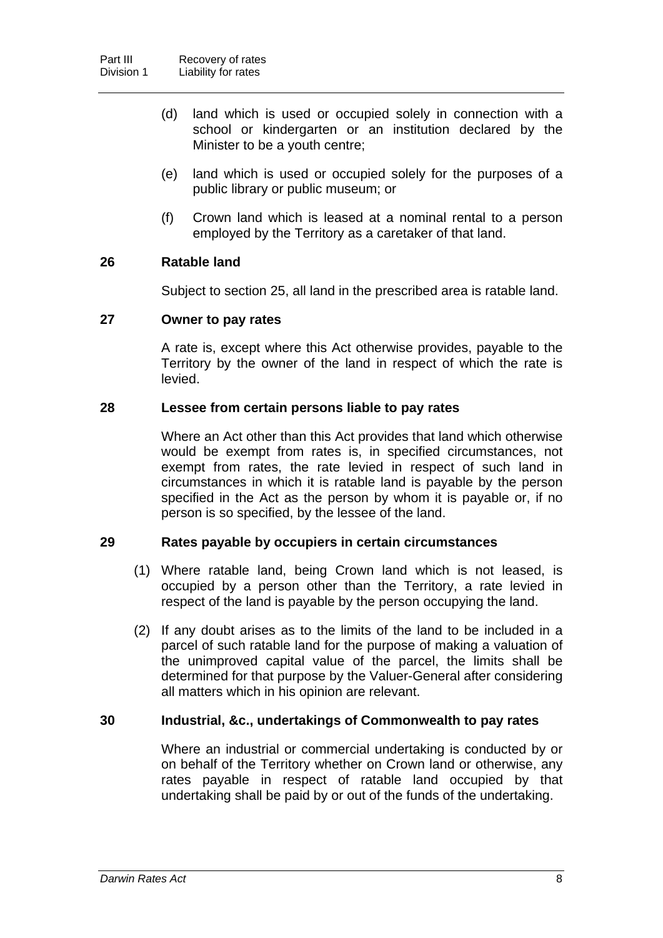- (d) land which is used or occupied solely in connection with a school or kindergarten or an institution declared by the Minister to be a youth centre;
- (e) land which is used or occupied solely for the purposes of a public library or public museum; or
- (f) Crown land which is leased at a nominal rental to a person employed by the Territory as a caretaker of that land.

#### <span id="page-10-0"></span>**26 Ratable land**

Subject to section 25, all land in the prescribed area is ratable land.

#### <span id="page-10-1"></span>**27 Owner to pay rates**

A rate is, except where this Act otherwise provides, payable to the Territory by the owner of the land in respect of which the rate is levied.

#### <span id="page-10-2"></span>**28 Lessee from certain persons liable to pay rates**

Where an Act other than this Act provides that land which otherwise would be exempt from rates is, in specified circumstances, not exempt from rates, the rate levied in respect of such land in circumstances in which it is ratable land is payable by the person specified in the Act as the person by whom it is payable or, if no person is so specified, by the lessee of the land.

#### <span id="page-10-3"></span>**29 Rates payable by occupiers in certain circumstances**

- (1) Where ratable land, being Crown land which is not leased, is occupied by a person other than the Territory, a rate levied in respect of the land is payable by the person occupying the land.
- (2) If any doubt arises as to the limits of the land to be included in a parcel of such ratable land for the purpose of making a valuation of the unimproved capital value of the parcel, the limits shall be determined for that purpose by the Valuer-General after considering all matters which in his opinion are relevant.

#### <span id="page-10-4"></span>**30 Industrial, &c., undertakings of Commonwealth to pay rates**

Where an industrial or commercial undertaking is conducted by or on behalf of the Territory whether on Crown land or otherwise, any rates payable in respect of ratable land occupied by that undertaking shall be paid by or out of the funds of the undertaking.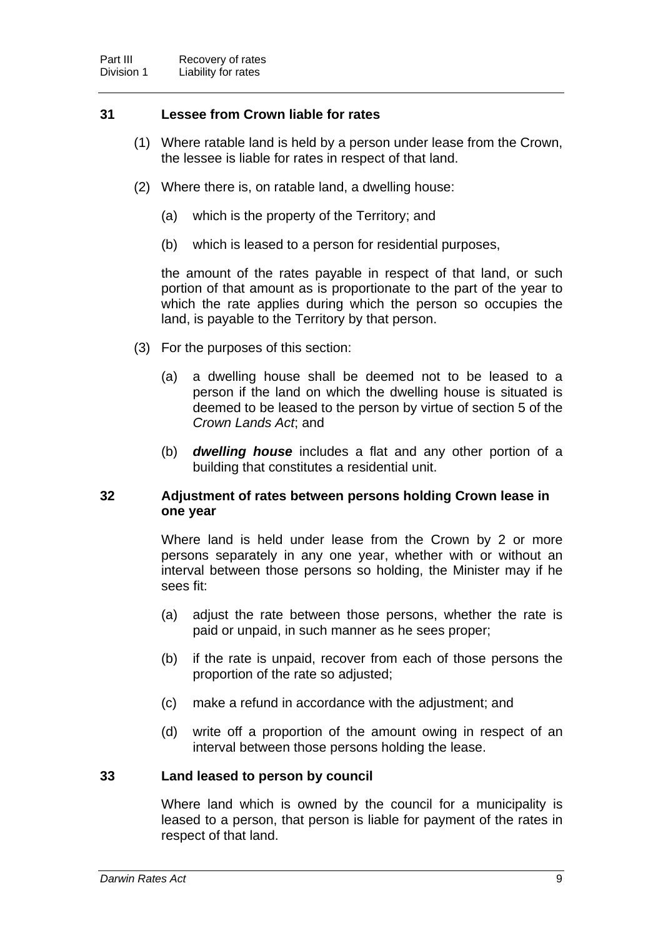#### <span id="page-11-0"></span>**31 Lessee from Crown liable for rates**

- (1) Where ratable land is held by a person under lease from the Crown, the lessee is liable for rates in respect of that land.
- (2) Where there is, on ratable land, a dwelling house:
	- (a) which is the property of the Territory; and
	- (b) which is leased to a person for residential purposes,

the amount of the rates payable in respect of that land, or such portion of that amount as is proportionate to the part of the year to which the rate applies during which the person so occupies the land, is payable to the Territory by that person.

- (3) For the purposes of this section:
	- (a) a dwelling house shall be deemed not to be leased to a person if the land on which the dwelling house is situated is deemed to be leased to the person by virtue of section 5 of the *Crown Lands Act*; and
	- (b) *dwelling house* includes a flat and any other portion of a building that constitutes a residential unit.

#### <span id="page-11-1"></span>**32 Adjustment of rates between persons holding Crown lease in one year**

Where land is held under lease from the Crown by 2 or more persons separately in any one year, whether with or without an interval between those persons so holding, the Minister may if he sees fit:

- (a) adjust the rate between those persons, whether the rate is paid or unpaid, in such manner as he sees proper;
- (b) if the rate is unpaid, recover from each of those persons the proportion of the rate so adjusted;
- (c) make a refund in accordance with the adjustment; and
- (d) write off a proportion of the amount owing in respect of an interval between those persons holding the lease.

#### <span id="page-11-2"></span>**33 Land leased to person by council**

Where land which is owned by the council for a municipality is leased to a person, that person is liable for payment of the rates in respect of that land.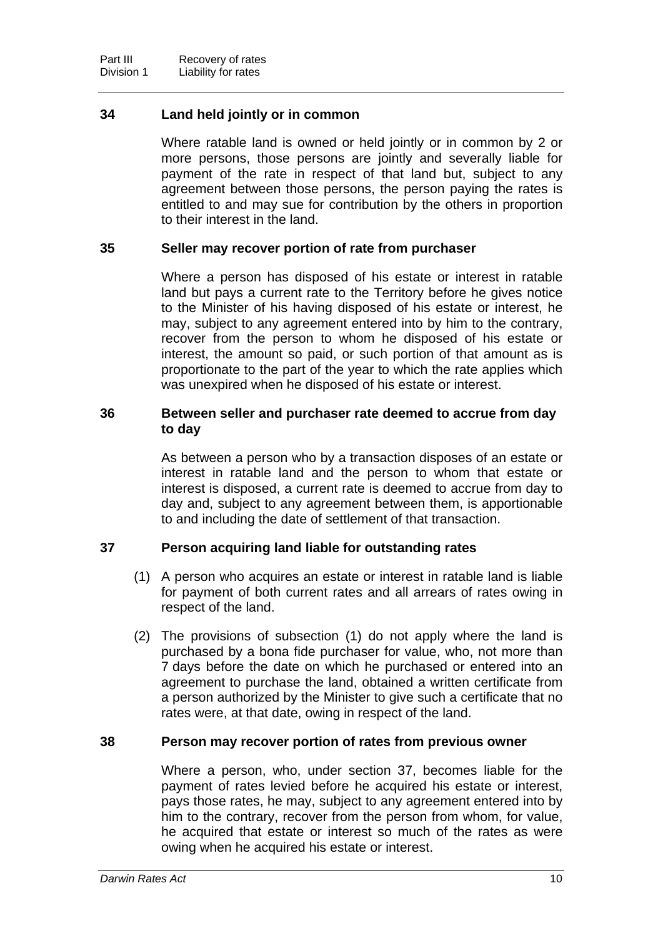#### <span id="page-12-0"></span>**34 Land held jointly or in common**

Where ratable land is owned or held jointly or in common by 2 or more persons, those persons are jointly and severally liable for payment of the rate in respect of that land but, subject to any agreement between those persons, the person paying the rates is entitled to and may sue for contribution by the others in proportion to their interest in the land.

#### <span id="page-12-1"></span>**35 Seller may recover portion of rate from purchaser**

Where a person has disposed of his estate or interest in ratable land but pays a current rate to the Territory before he gives notice to the Minister of his having disposed of his estate or interest, he may, subject to any agreement entered into by him to the contrary, recover from the person to whom he disposed of his estate or interest, the amount so paid, or such portion of that amount as is proportionate to the part of the year to which the rate applies which was unexpired when he disposed of his estate or interest.

#### <span id="page-12-2"></span>**36 Between seller and purchaser rate deemed to accrue from day to day**

As between a person who by a transaction disposes of an estate or interest in ratable land and the person to whom that estate or interest is disposed, a current rate is deemed to accrue from day to day and, subject to any agreement between them, is apportionable to and including the date of settlement of that transaction.

#### <span id="page-12-3"></span>**37 Person acquiring land liable for outstanding rates**

- (1) A person who acquires an estate or interest in ratable land is liable for payment of both current rates and all arrears of rates owing in respect of the land.
- (2) The provisions of subsection (1) do not apply where the land is purchased by a bona fide purchaser for value, who, not more than 7 days before the date on which he purchased or entered into an agreement to purchase the land, obtained a written certificate from a person authorized by the Minister to give such a certificate that no rates were, at that date, owing in respect of the land.

#### <span id="page-12-4"></span>**38 Person may recover portion of rates from previous owner**

Where a person, who, under section 37, becomes liable for the payment of rates levied before he acquired his estate or interest, pays those rates, he may, subject to any agreement entered into by him to the contrary, recover from the person from whom, for value, he acquired that estate or interest so much of the rates as were owing when he acquired his estate or interest.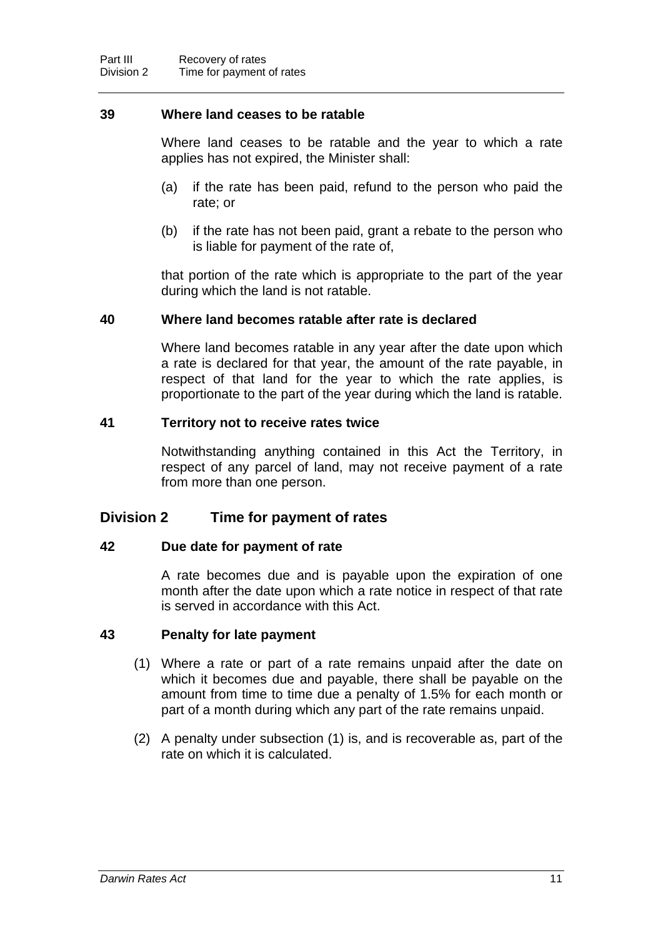#### <span id="page-13-0"></span>**39 Where land ceases to be ratable**

Where land ceases to be ratable and the year to which a rate applies has not expired, the Minister shall:

- (a) if the rate has been paid, refund to the person who paid the rate; or
- (b) if the rate has not been paid, grant a rebate to the person who is liable for payment of the rate of,

that portion of the rate which is appropriate to the part of the year during which the land is not ratable.

#### <span id="page-13-1"></span>**40 Where land becomes ratable after rate is declared**

Where land becomes ratable in any year after the date upon which a rate is declared for that year, the amount of the rate payable, in respect of that land for the year to which the rate applies, is proportionate to the part of the year during which the land is ratable.

#### <span id="page-13-2"></span>**41 Territory not to receive rates twice**

Notwithstanding anything contained in this Act the Territory, in respect of any parcel of land, may not receive payment of a rate from more than one person.

## **Division 2 Time for payment of rates**

#### <span id="page-13-3"></span>**42 Due date for payment of rate**

A rate becomes due and is payable upon the expiration of one month after the date upon which a rate notice in respect of that rate is served in accordance with this Act.

#### <span id="page-13-4"></span>**43 Penalty for late payment**

- (1) Where a rate or part of a rate remains unpaid after the date on which it becomes due and payable, there shall be payable on the amount from time to time due a penalty of 1.5% for each month or part of a month during which any part of the rate remains unpaid.
- (2) A penalty under subsection (1) is, and is recoverable as, part of the rate on which it is calculated.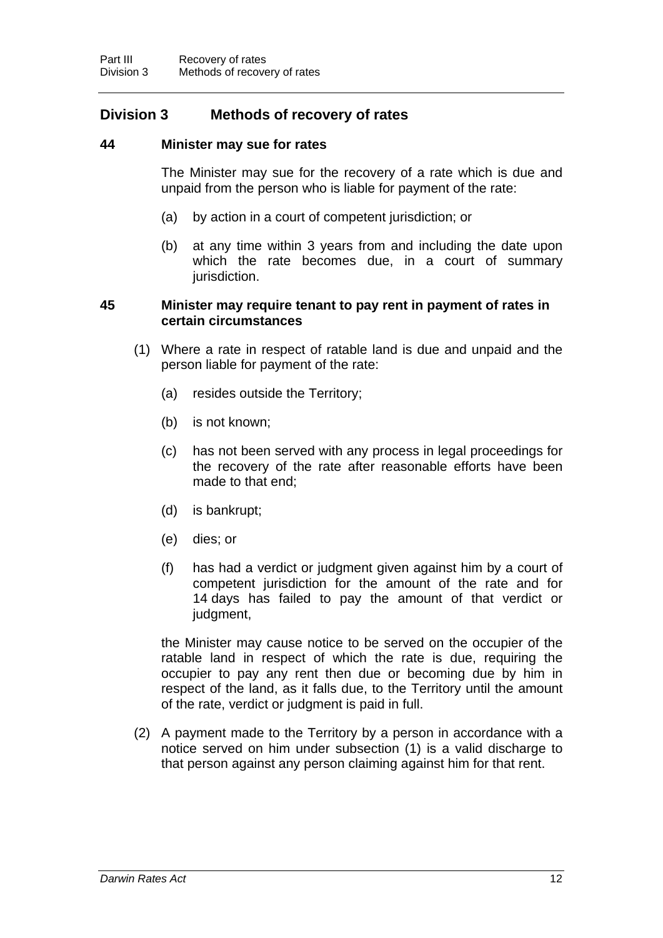## **Division 3 Methods of recovery of rates**

#### <span id="page-14-0"></span>**44 Minister may sue for rates**

The Minister may sue for the recovery of a rate which is due and unpaid from the person who is liable for payment of the rate:

- (a) by action in a court of competent jurisdiction; or
- (b) at any time within 3 years from and including the date upon which the rate becomes due, in a court of summary jurisdiction.

#### <span id="page-14-1"></span>**45 Minister may require tenant to pay rent in payment of rates in certain circumstances**

- (1) Where a rate in respect of ratable land is due and unpaid and the person liable for payment of the rate:
	- (a) resides outside the Territory;
	- (b) is not known;
	- (c) has not been served with any process in legal proceedings for the recovery of the rate after reasonable efforts have been made to that end;
	- (d) is bankrupt;
	- (e) dies; or
	- (f) has had a verdict or judgment given against him by a court of competent jurisdiction for the amount of the rate and for 14 days has failed to pay the amount of that verdict or judgment,

the Minister may cause notice to be served on the occupier of the ratable land in respect of which the rate is due, requiring the occupier to pay any rent then due or becoming due by him in respect of the land, as it falls due, to the Territory until the amount of the rate, verdict or judgment is paid in full.

 (2) A payment made to the Territory by a person in accordance with a notice served on him under subsection (1) is a valid discharge to that person against any person claiming against him for that rent.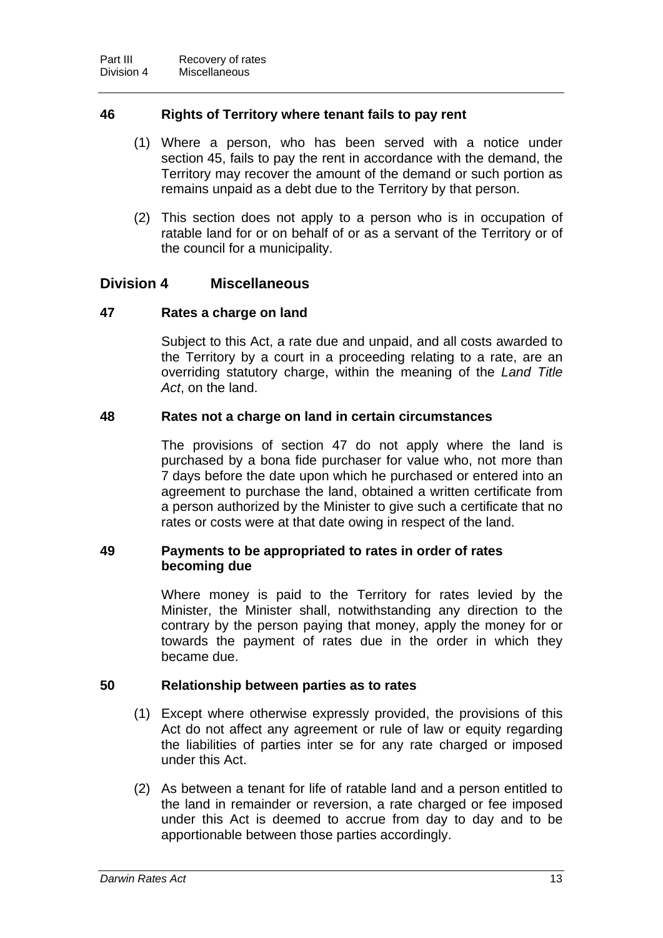#### <span id="page-15-0"></span>**46 Rights of Territory where tenant fails to pay rent**

- (1) Where a person, who has been served with a notice under section 45, fails to pay the rent in accordance with the demand, the Territory may recover the amount of the demand or such portion as remains unpaid as a debt due to the Territory by that person.
- (2) This section does not apply to a person who is in occupation of ratable land for or on behalf of or as a servant of the Territory or of the council for a municipality.

#### **Division 4 Miscellaneous**

#### <span id="page-15-1"></span>**47 Rates a charge on land**

Subject to this Act, a rate due and unpaid, and all costs awarded to the Territory by a court in a proceeding relating to a rate, are an overriding statutory charge, within the meaning of the *Land Title Act*, on the land.

#### <span id="page-15-2"></span>**48 Rates not a charge on land in certain circumstances**

The provisions of section 47 do not apply where the land is purchased by a bona fide purchaser for value who, not more than 7 days before the date upon which he purchased or entered into an agreement to purchase the land, obtained a written certificate from a person authorized by the Minister to give such a certificate that no rates or costs were at that date owing in respect of the land.

#### <span id="page-15-3"></span>**49 Payments to be appropriated to rates in order of rates becoming due**

Where money is paid to the Territory for rates levied by the Minister, the Minister shall, notwithstanding any direction to the contrary by the person paying that money, apply the money for or towards the payment of rates due in the order in which they became due.

#### <span id="page-15-4"></span>**50 Relationship between parties as to rates**

- (1) Except where otherwise expressly provided, the provisions of this Act do not affect any agreement or rule of law or equity regarding the liabilities of parties inter se for any rate charged or imposed under this Act.
- (2) As between a tenant for life of ratable land and a person entitled to the land in remainder or reversion, a rate charged or fee imposed under this Act is deemed to accrue from day to day and to be apportionable between those parties accordingly.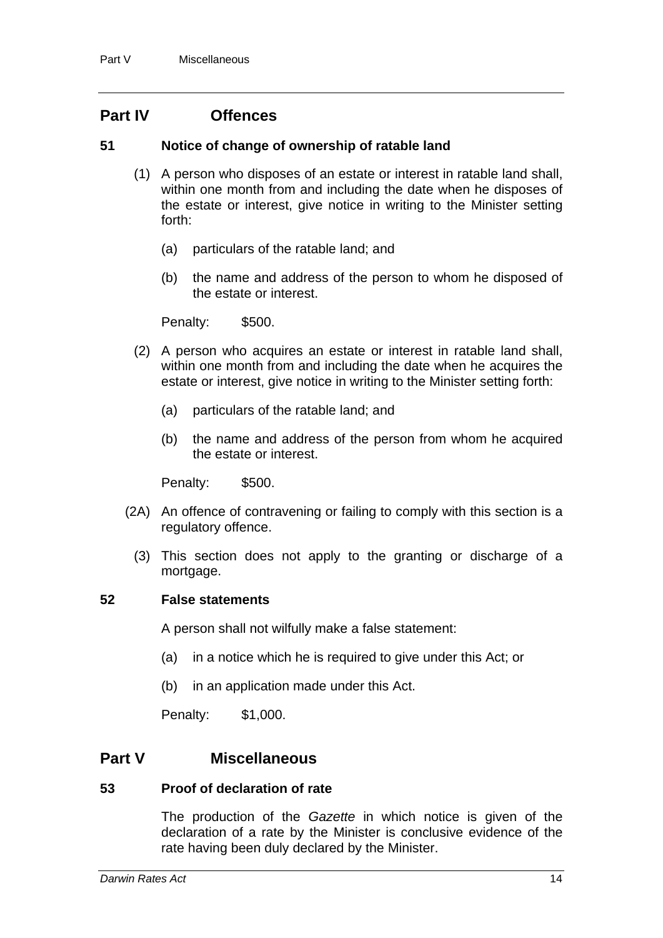## **Part IV Offences**

#### <span id="page-16-0"></span>**51 Notice of change of ownership of ratable land**

- (1) A person who disposes of an estate or interest in ratable land shall, within one month from and including the date when he disposes of the estate or interest, give notice in writing to the Minister setting forth:
	- (a) particulars of the ratable land; and
	- (b) the name and address of the person to whom he disposed of the estate or interest.

Penalty: \$500.

- (2) A person who acquires an estate or interest in ratable land shall, within one month from and including the date when he acquires the estate or interest, give notice in writing to the Minister setting forth:
	- (a) particulars of the ratable land; and
	- (b) the name and address of the person from whom he acquired the estate or interest.

Penalty: \$500.

- (2A) An offence of contravening or failing to comply with this section is a regulatory offence.
	- (3) This section does not apply to the granting or discharge of a mortgage.

#### <span id="page-16-1"></span>**52 False statements**

A person shall not wilfully make a false statement:

- (a) in a notice which he is required to give under this Act; or
- (b) in an application made under this Act.

Penalty: \$1,000.

## **Part V Miscellaneous**

#### <span id="page-16-2"></span>**53 Proof of declaration of rate**

The production of the *Gazette* in which notice is given of the declaration of a rate by the Minister is conclusive evidence of the rate having been duly declared by the Minister.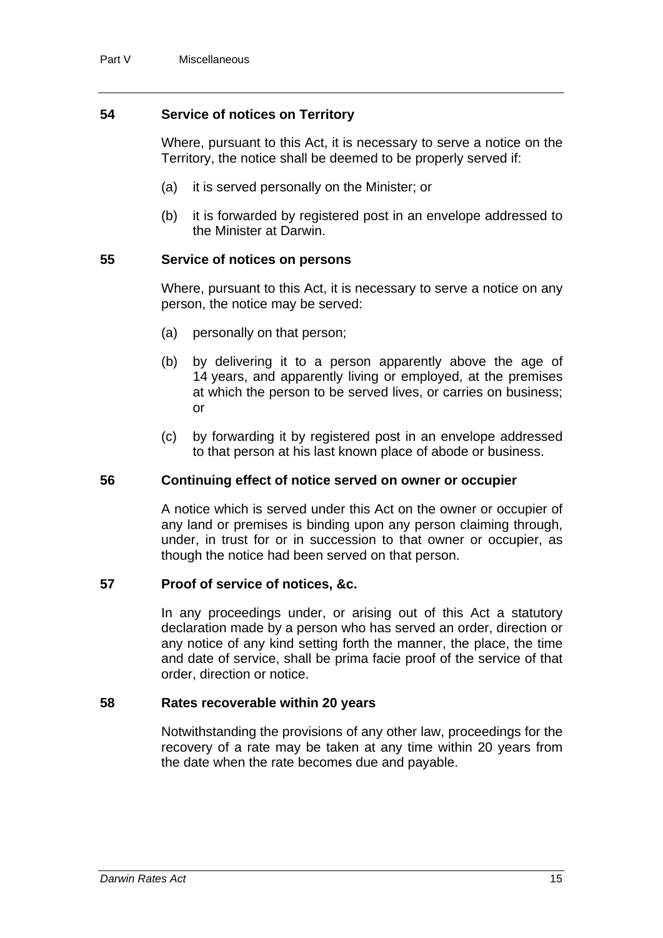#### <span id="page-17-0"></span>**54 Service of notices on Territory**

Where, pursuant to this Act, it is necessary to serve a notice on the Territory, the notice shall be deemed to be properly served if:

- (a) it is served personally on the Minister; or
- (b) it is forwarded by registered post in an envelope addressed to the Minister at Darwin.

#### <span id="page-17-1"></span>**55 Service of notices on persons**

Where, pursuant to this Act, it is necessary to serve a notice on any person, the notice may be served:

- (a) personally on that person;
- (b) by delivering it to a person apparently above the age of 14 years, and apparently living or employed, at the premises at which the person to be served lives, or carries on business; or
- (c) by forwarding it by registered post in an envelope addressed to that person at his last known place of abode or business.

#### <span id="page-17-2"></span>**56 Continuing effect of notice served on owner or occupier**

A notice which is served under this Act on the owner or occupier of any land or premises is binding upon any person claiming through, under, in trust for or in succession to that owner or occupier, as though the notice had been served on that person.

#### <span id="page-17-3"></span>**57 Proof of service of notices, &c.**

In any proceedings under, or arising out of this Act a statutory declaration made by a person who has served an order, direction or any notice of any kind setting forth the manner, the place, the time and date of service, shall be prima facie proof of the service of that order, direction or notice.

#### <span id="page-17-4"></span>**58 Rates recoverable within 20 years**

Notwithstanding the provisions of any other law, proceedings for the recovery of a rate may be taken at any time within 20 years from the date when the rate becomes due and payable.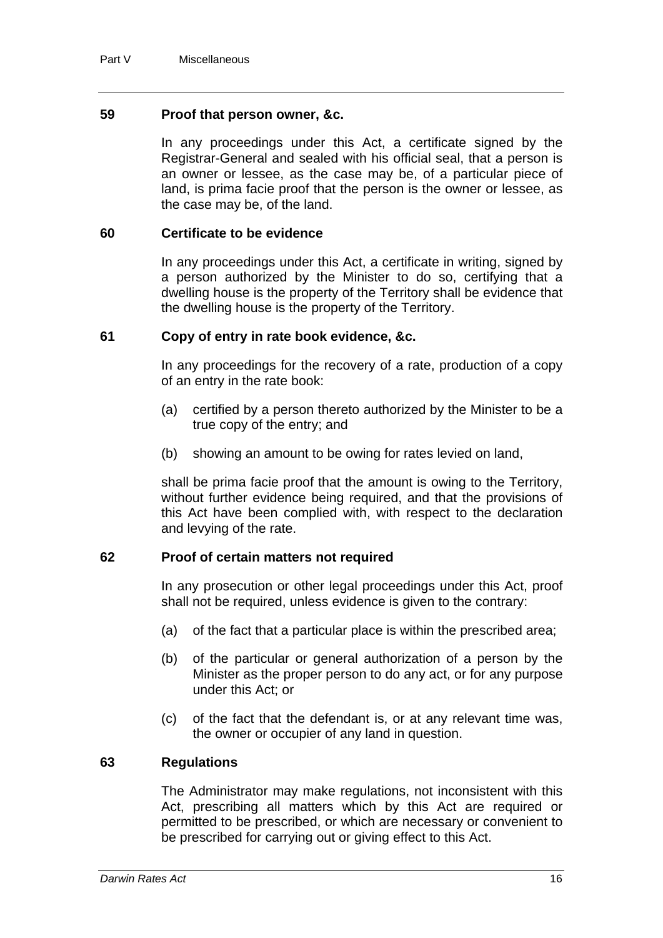#### <span id="page-18-0"></span>**59 Proof that person owner, &c.**

In any proceedings under this Act, a certificate signed by the Registrar-General and sealed with his official seal, that a person is an owner or lessee, as the case may be, of a particular piece of land, is prima facie proof that the person is the owner or lessee, as the case may be, of the land.

#### <span id="page-18-1"></span>**60 Certificate to be evidence**

In any proceedings under this Act, a certificate in writing, signed by a person authorized by the Minister to do so, certifying that a dwelling house is the property of the Territory shall be evidence that the dwelling house is the property of the Territory.

#### <span id="page-18-2"></span>**61 Copy of entry in rate book evidence, &c.**

In any proceedings for the recovery of a rate, production of a copy of an entry in the rate book:

- (a) certified by a person thereto authorized by the Minister to be a true copy of the entry; and
- (b) showing an amount to be owing for rates levied on land,

shall be prima facie proof that the amount is owing to the Territory, without further evidence being required, and that the provisions of this Act have been complied with, with respect to the declaration and levying of the rate.

#### <span id="page-18-3"></span>**62 Proof of certain matters not required**

In any prosecution or other legal proceedings under this Act, proof shall not be required, unless evidence is given to the contrary:

- (a) of the fact that a particular place is within the prescribed area;
- (b) of the particular or general authorization of a person by the Minister as the proper person to do any act, or for any purpose under this Act; or
- (c) of the fact that the defendant is, or at any relevant time was, the owner or occupier of any land in question.

#### <span id="page-18-4"></span>**63 Regulations**

The Administrator may make regulations, not inconsistent with this Act, prescribing all matters which by this Act are required or permitted to be prescribed, or which are necessary or convenient to be prescribed for carrying out or giving effect to this Act.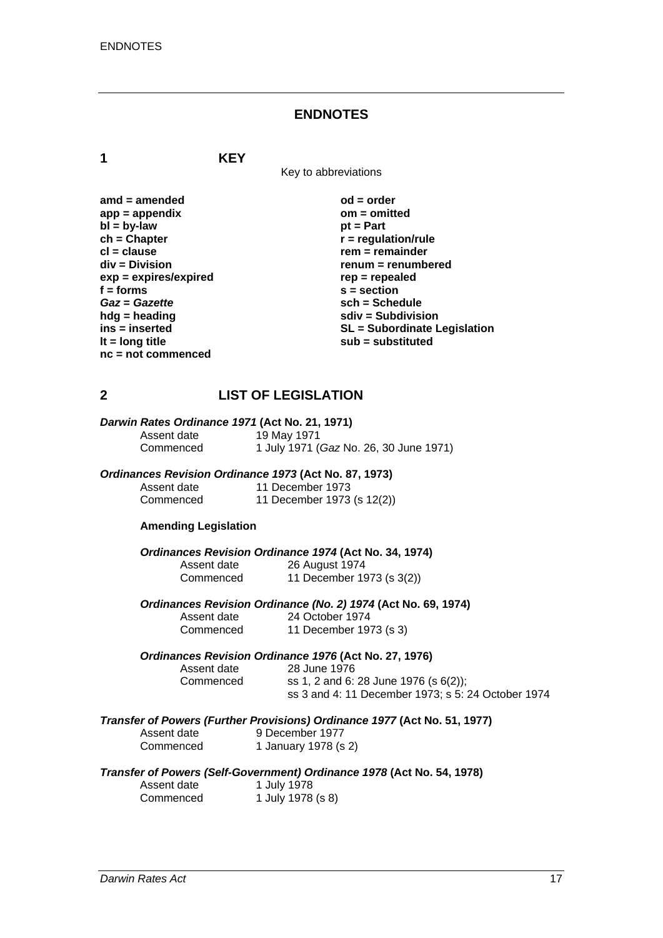#### **ENDNOTES**

**1 KEY**

Key to abbreviations

amd = amended od = order<br>
app = appendix **butch** on = omitted app = appendix om = om<br>bl = bv-law bt = Part  $\mathbf{b}$  =  $\mathbf{b}$ y-law **ch = Chapter r = regulation/rule in the clause of the clause of the clause of the clause of the clause of the clause of the clause of the clause of the clause of the clause of the clause of the clause of the clause of the cl = clause rem = remainder**<br>div = Division **rem = remainder** *renum* = renumb **exp = expires/expired** rep = repealed **rep = repealed**  $s$  = section *Gaz* **=** *Gazette* **sch = Schedule hdg = heading solid solid solid state in the subdivision in the subdivision solid solid state subdivision lt = long title substituted is a substituted sub = substituted is a substituted in the substituted in the substituted in the substituted in the substituted in the substituted in the substituted in the substituted in the s nc = not commenced** 

renum = renumbered  $\ddot{s}$  = section **ins = inserted SL = Subordinate Legislation** 

## **2 LIST OF LEGISLATION**

| Darwin Rates Ordinance 1971 (Act No. 21, 1971) |                                        |
|------------------------------------------------|----------------------------------------|
| Assent date                                    | 19 May 1971                            |
| Commenced                                      | 1 July 1971 (Gaz No. 26, 30 June 1971) |

#### *Ordinances Revision Ordinance 1973* **(Act No. 87, 1973)**

| Assent date | 11 December 1973           |
|-------------|----------------------------|
| Commenced   | 11 December 1973 (s 12(2)) |

#### **Amending Legislation**

*Ordinances Revision Ordinance 1974* **(Act No. 34, 1974)** Assent date 26 August 1974

Commenced 11 December 1973 (s 3(2))

*Ordinances Revision Ordinance (No. 2) 1974* **(Act No. 69, 1974)**

Assent date 24 October 1974<br>Commenced 11 December 197 11 December 1973 (s 3)

#### *Ordinances Revision Ordinance 1976* **(Act No. 27, 1976)**

Assent date 28 June 1976 Commenced ss 1, 2 and 6: 28 June 1976 (s 6(2)); ss 3 and 4: 11 December 1973; s 5: 24 October 1974

#### *Transfer of Powers (Further Provisions) Ordinance 1977* **(Act No. 51, 1977)**  Assent of

| Assent date | 9 December 1977      |
|-------------|----------------------|
| Commenced   | 1 January 1978 (s 2) |

#### *Transfer of Powers (Self-Government) Ordinance 1978* **(Act No. 54, 1978)**

| Assent date | 1 July 1978       |
|-------------|-------------------|
| Commenced   | 1 July 1978 (s 8) |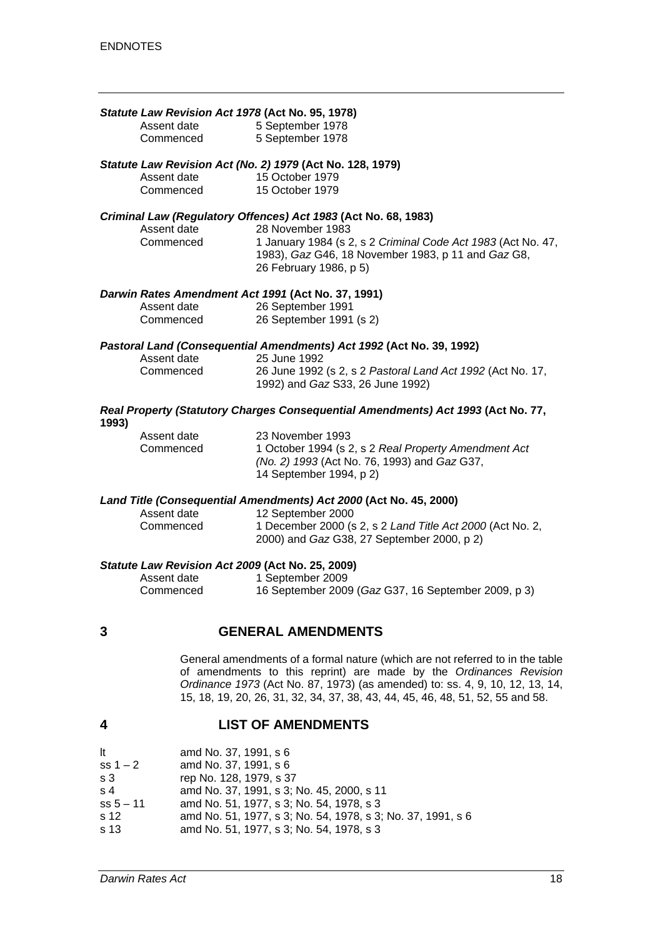|       | Statute Law Revision Act 1978 (Act No. 95, 1978)                              |                                                                                  |
|-------|-------------------------------------------------------------------------------|----------------------------------------------------------------------------------|
|       | Assent date                                                                   | 5 September 1978                                                                 |
|       | Commenced                                                                     | 5 September 1978                                                                 |
|       |                                                                               | Statute Law Revision Act (No. 2) 1979 (Act No. 128, 1979)                        |
|       | Assent date                                                                   | 15 October 1979                                                                  |
|       | Commenced                                                                     | 15 October 1979                                                                  |
|       |                                                                               | Criminal Law (Regulatory Offences) Act 1983 (Act No. 68, 1983)                   |
|       | Assent date                                                                   | 28 November 1983                                                                 |
|       | Commenced                                                                     | 1 January 1984 (s 2, s 2 Criminal Code Act 1983 (Act No. 47,                     |
|       |                                                                               | 1983), Gaz G46, 18 November 1983, p 11 and Gaz G8,                               |
|       |                                                                               | 26 February 1986, p 5)                                                           |
|       |                                                                               | Darwin Rates Amendment Act 1991 (Act No. 37, 1991)                               |
|       | Assent date                                                                   | 26 September 1991                                                                |
|       | Commenced                                                                     | 26 September 1991 (s 2)                                                          |
|       |                                                                               | Pastoral Land (Consequential Amendments) Act 1992 (Act No. 39, 1992)             |
|       | Assent date                                                                   | 25 June 1992                                                                     |
|       | Commenced                                                                     | 26 June 1992 (s 2, s 2 Pastoral Land Act 1992 (Act No. 17,                       |
|       |                                                                               | 1992) and Gaz S33, 26 June 1992)                                                 |
| 1993) |                                                                               | Real Property (Statutory Charges Consequential Amendments) Act 1993 (Act No. 77, |
|       | Assent date                                                                   | 23 November 1993                                                                 |
|       | Commenced                                                                     | 1 October 1994 (s 2, s 2 Real Property Amendment Act                             |
|       |                                                                               | (No. 2) 1993 (Act No. 76, 1993) and Gaz G37,                                     |
|       |                                                                               | 14 September 1994, p 2)                                                          |
|       |                                                                               | Land Title (Consequential Amendments) Act 2000 (Act No. 45, 2000)                |
|       | Assent date                                                                   | 12 September 2000                                                                |
|       | Commenced                                                                     | 1 December 2000 (s 2, s 2 Land Title Act 2000 (Act No. 2,                        |
|       |                                                                               | 2000) and Gaz G38, 27 September 2000, p 2)                                       |
|       | Statute Law Revision Act 2009 (Act No. 25, 2009)                              |                                                                                  |
|       | Assent date                                                                   | 1 September 2009                                                                 |
|       | Commenced                                                                     | 16 September 2009 (Gaz G37, 16 September 2009, p 3)                              |
|       |                                                                               |                                                                                  |
| 3     |                                                                               | <b>GENERAL AMENDMENTS</b>                                                        |
|       | General amendments of a formal nature (which are not referred to in the table |                                                                                  |
|       |                                                                               | of amendments to this reprint) are made by the Ordinances Revision               |
|       |                                                                               | Ordinance 1973 (Act No. 87, 1973) (as amended) to: ss. 4, 9, 10, 12, 13, 14,     |
|       |                                                                               | 15, 18, 19, 20, 26, 31, 32, 34, 37, 38, 43, 44, 45, 46, 48, 51, 52, 55 and 58.   |
|       |                                                                               |                                                                                  |

## **4 LIST OF AMENDMENTS**

| lt.            | amd No. 37, 1991, s 6                                       |
|----------------|-------------------------------------------------------------|
| $ss 1 - 2$     | amd No. 37, 1991, s 6                                       |
| s <sub>3</sub> | rep No. 128, 1979, s 37                                     |
| s <sub>4</sub> | amd No. 37, 1991, s 3; No. 45, 2000, s 11                   |
| $ss 5 - 11$    | amd No. 51, 1977, s 3; No. 54, 1978, s 3                    |
| s 12           | amd No. 51, 1977, s 3; No. 54, 1978, s 3; No. 37, 1991, s 6 |
| s 13           | amd No. 51, 1977, s 3; No. 54, 1978, s 3                    |